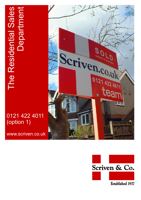# The Residential Sales The Residential Sales<br>Department **Department**

# 0121 422 4011 (option 1)

www.scriven.co.uk



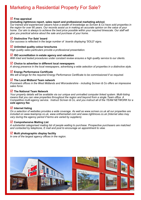# Marketing a Residential Property For Sale?

### **Free appraisal**

### **(including rightmove report, sales report and professional marketing advice)**

*Our trained and experienced valuers have a wealth of knowledge as Scriven & Co have sold properties in the region for over 80 years. Our records assist us in making an accurate opinion on the value of your home. Our aim is always to achieve the best price possible within your required timescale. Our staff will give you practical advice about the sale and purchase of your home.* 

### **Distinctive 'For Sale' board**

*Our success is reflected in the large number of boards displaying 'SOLD' signs.* 

### **Unlimited quality colour brochures**

*High quality sales particulars provide a professional presentation.* 

### **ISO accreditation in estate agency and valuation**

*With tried and tested procedures under constant review ensures a high quality service to our clients.* 

### **Choice to advertise in different local newspapers**

*A strong presence in the local newspapers, advertising a wide selection of properties in a distinctive style.* 

### **Energy Performance Certificate**

*We will arrange for the required Energy Performance Certificate to be commissioned if so required.*

### **The Local Midland Team network**

*Prominent offices in the West Midlands and Worcestershire - including Scriven & Co offers an impressive sales force.* 

### **The National Team Network**

*Your property details will be available via our unique and unrivalled computer linked system. Multi-listing means that you can view properties throughout the region and beyond from a single Team office. A Competitive multi-agency service. Instruct Scriven & Co, and you instruct all of the TEAM NETWORK for a sole agency fee.*

### **Internet listing**

*On a selection of websites provides a wide coverage. As well as www.scriven.co.uk all our properties are included on www.teamprop.co.uk, www.onthemarket.com and www.rightmove.co.uk (Internet sites may vary during the agency period if terms are varied by suppliers).*

### **Comprehensive Mailing List**

*A substantial categorised mailing list of people waiting to purchase. Prospective purchasers are matched and contacted by telephone, E mail and post to encourage an appointment to view.* 

### **Multi photographic display facility**

*In one of the largest agency offices in the region.* 

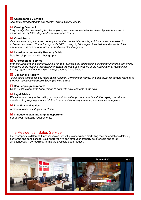### **Accompanied Viewings**

*Agreed by arrangement to suit clients' varying circumstances.* 

### **Viewing Feedback**

*Very shortly after the viewing has taken place, we make contact with the viewer by telephone and if unsuccessful, by letter. Any feedback is reported to you.* 

### **Virtual Tours**

*Can be viewed as part of the property information on the internet site, which can also be emailed to potential purchasers. These tours provide 360° moving digital images of the inside and outside of the properties. This can be built into your marketing plan if required.* 

### **Insertion in our Weekly Property Guide**

Detailing all properties with photographs.

### **A Professional Service**

*With the Directors and staff providing a range of professional qualifications, including Chartered Surveyors, Members of the National Association of Estate Agents and Members of the Association of Residential Letting Agents, and being subject to regulation by these bodies.* 

### **Car parking Facility**

*At our office fronting Hagley Road West, Quinton, Birmingham you will find extensive car parking facilities to the rear, accessed via Bissell Street (off High Street).*

### **Regular progress reports**

*Once a sale is agreed to keep you up to date with developments in the sale.*

### **Legal Advice**

*We will work in conjunction with your own solicitor although our contacts with the Legal profession also enable us to give you guidance relative to your individual requirements, if assistance is required.*

### **Free financial advice**

*Arranged to assist with your purchase.*

### **In-house design and graphic department**

For all your marketing requirements.

### The Residential Sales Service

Every property is different. Once inspected, we will provide written marketing recommendations detailing our terms and conditions for your approval. We can offer your property both for sale and to let simultaneously if so required. Terms are available upon request.